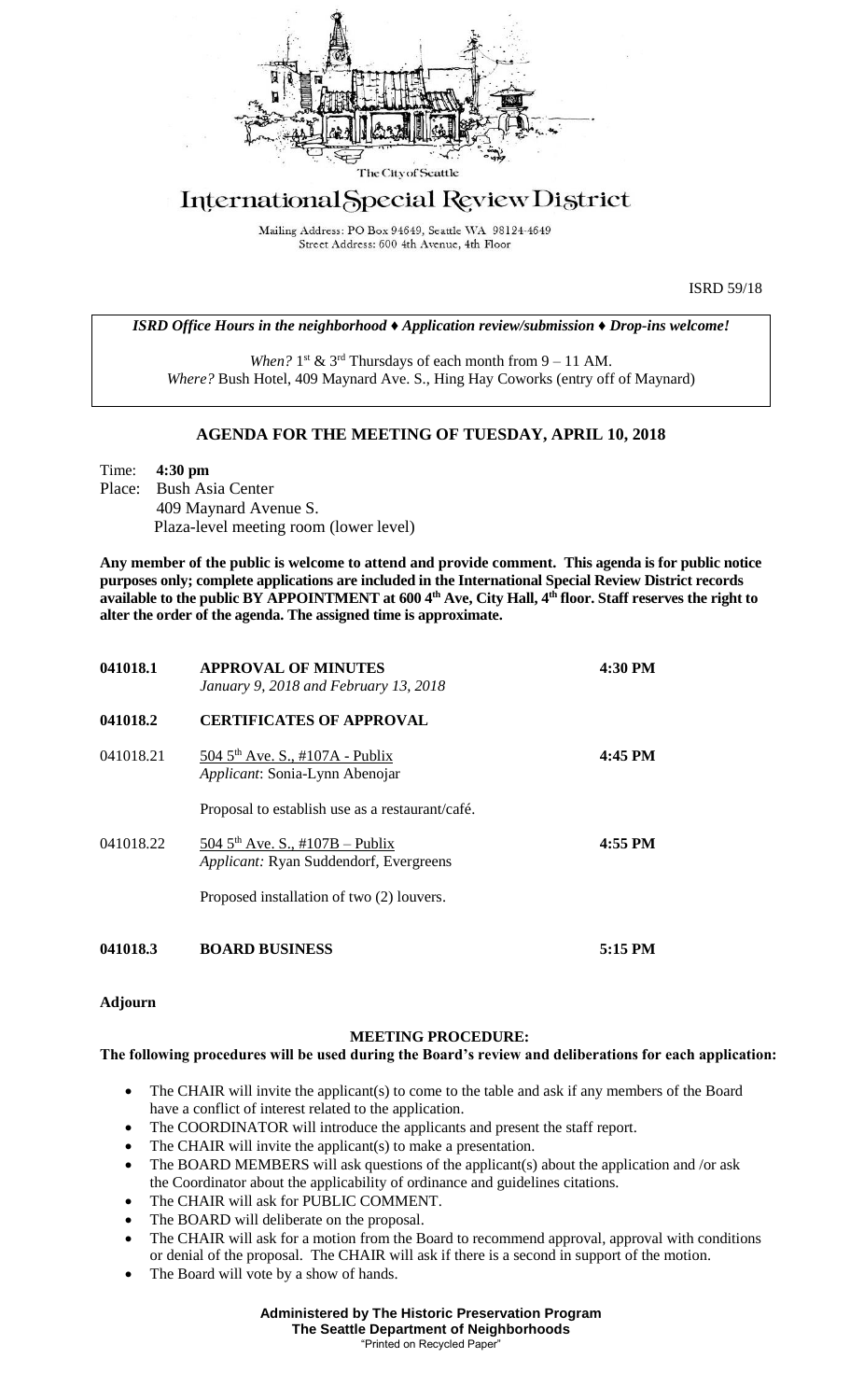

## International Special Review District

Mailing Address: PO Box 94649, Seattle WA 98124-4649 Street Address: 600 4th Avenue, 4th Floor

ISRD 59/18

*ISRD Office Hours in the neighborhood ♦ Application review/submission ♦ Drop-ins welcome!*

When?  $1<sup>st</sup>$  &  $3<sup>rd</sup>$  Thursdays of each month from  $9 - 11$  AM. *Where?* Bush Hotel, 409 Maynard Ave. S., Hing Hay Coworks (entry off of Maynard)

## **AGENDA FOR THE MEETING OF TUESDAY, APRIL 10, 2018**

Time: **4:30 pm** Place: Bush Asia Center 409 Maynard Avenue S. Plaza-level meeting room (lower level)

**Any member of the public is welcome to attend and provide comment. This agenda is for public notice purposes only; complete applications are included in the International Special Review District records available to the public BY APPOINTMENT at 600 4th Ave, City Hall, 4th floor. Staff reserves the right to alter the order of the agenda. The assigned time is approximate.** 

| 041018.1  | <b>APPROVAL OF MINUTES</b><br>January 9, 2018 and February 13, 2018                   | 4:30 PM   |
|-----------|---------------------------------------------------------------------------------------|-----------|
| 041018.2  | <b>CERTIFICATES OF APPROVAL</b>                                                       |           |
| 041018.21 | 504 5 <sup>th</sup> Ave. S., #107A - Publix<br>Applicant: Sonia-Lynn Abenojar         | $4:45$ PM |
|           | Proposal to establish use as a restaurant/café.                                       |           |
| 041018.22 | 504 $5^{th}$ Ave. S., #107B – Publix<br><i>Applicant:</i> Ryan Suddendorf, Evergreens | $4:55$ PM |
|           | Proposed installation of two (2) louvers.                                             |           |
| 041018.3  | <b>BOARD BUSINESS</b>                                                                 | $5:15$ PM |

**Adjourn**

## **MEETING PROCEDURE:**

## **The following procedures will be used during the Board's review and deliberations for each application:**

- The CHAIR will invite the applicant(s) to come to the table and ask if any members of the Board have a conflict of interest related to the application.
- The COORDINATOR will introduce the applicants and present the staff report.
- The CHAIR will invite the applicant(s) to make a presentation.
- The BOARD MEMBERS will ask questions of the applicant(s) about the application and /or ask the Coordinator about the applicability of ordinance and guidelines citations.
- The CHAIR will ask for PUBLIC COMMENT.
- The BOARD will deliberate on the proposal.
- The CHAIR will ask for a motion from the Board to recommend approval, approval with conditions or denial of the proposal. The CHAIR will ask if there is a second in support of the motion.
- The Board will vote by a show of hands.